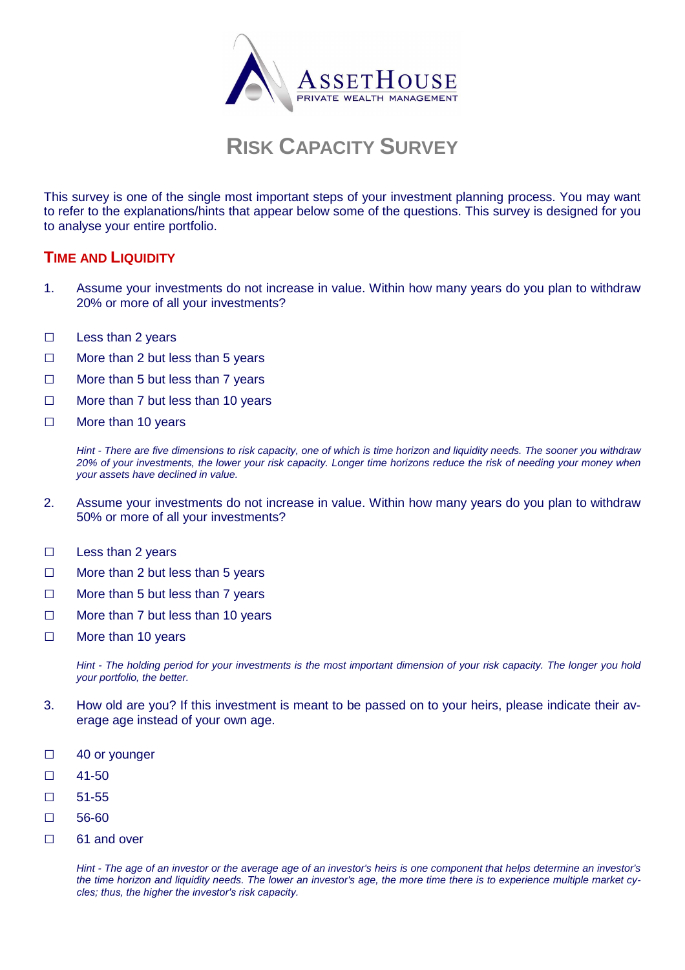

# **RISK CAPACITY SURVEY**

This survey is one of the single most important steps of your investment planning process. You may want to refer to the explanations/hints that appear below some of the questions. This survey is designed for you to analyse your entire portfolio.

# **TIME AND LIQUIDITY**

- 1. Assume your investments do not increase in value. Within how many years do you plan to withdraw 20% or more of all your investments?
- □ Less than 2 years
- □ More than 2 but less than 5 years
- □ More than 5 but less than 7 years
- □ More than 7 but less than 10 years
- □ More than 10 years

Hint - There are five dimensions to risk capacity, one of which is time horizon and liquidity needs. The sooner you withdraw 20% of your investments, the lower your risk capacity. Longer time horizons reduce the risk of needing your money when your assets have declined in value.

- 2. Assume your investments do not increase in value. Within how many years do you plan to withdraw 50% or more of all your investments?
- □ Less than 2 years
- □ More than 2 but less than 5 years
- □ More than 5 but less than 7 years
- □ More than 7 but less than 10 years
- □ More than 10 years

Hint - The holding period for your investments is the most important dimension of your risk capacity. The longer you hold your portfolio, the better.

- 3. How old are you? If this investment is meant to be passed on to your heirs, please indicate their average age instead of your own age.
- □ 40 or younger
- □ 41-50
- □ 51-55
- □ 56-60
- □ 61 and over

Hint - The age of an investor or the average age of an investor's heirs is one component that helps determine an investor's the time horizon and liquidity needs. The lower an investor's age, the more time there is to experience multiple market cy*cles; thus, the higher the investor's risk capacity.*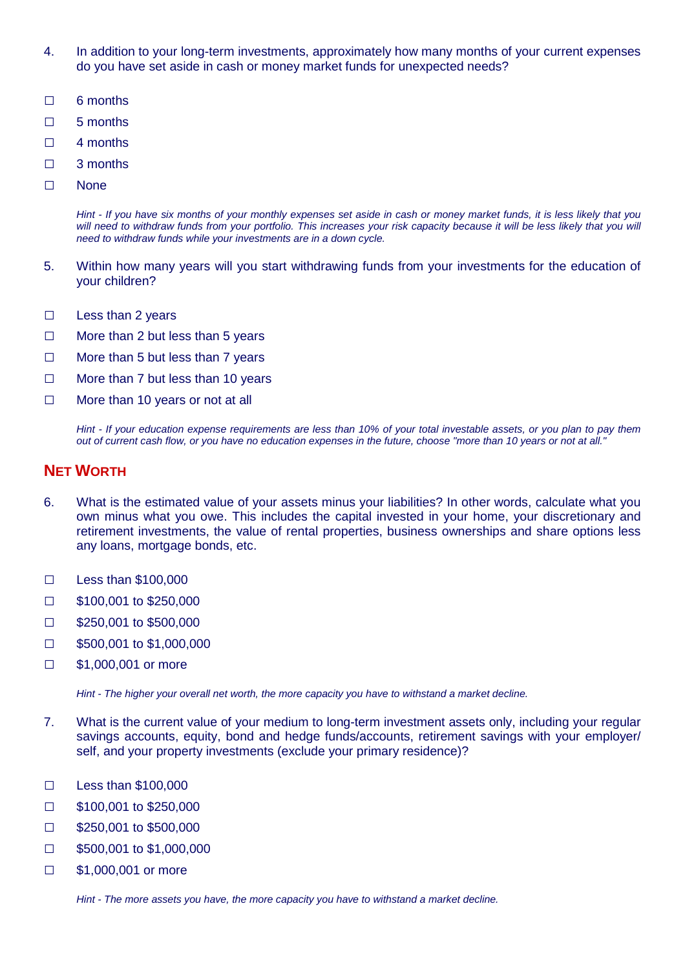- 4. In addition to your long-term investments, approximately how many months of your current expenses do you have set aside in cash or money market funds for unexpected needs?
- □ 6 months
- □ 5 months
- □ 4 months
- □ 3 months
- □ None

Hint - If you have six months of your monthly expenses set aside in cash or money market funds, it is less likely that you will need to withdraw funds from your portfolio. This increases your risk capacity because it will be less likely that you will need to withdraw funds while your investments are in a down cycle.

- 5. Within how many years will you start withdrawing funds from your investments for the education of your children?
- □ Less than 2 years
- □ More than 2 but less than 5 years
- □ More than 5 but less than 7 years
- □ More than 7 but less than 10 years
- □ More than 10 years or not at all

Hint - If your education expense requirements are less than 10% of your total investable assets, or you plan to pay them out of current cash flow, or you have no education expenses in the future, choose "more than 10 years or not at all."

### **NET WORTH**

- 6. What is the estimated value of your assets minus your liabilities? In other words, calculate what you own minus what you owe. This includes the capital invested in your home, your discretionary and retirement investments, the value of rental properties, business ownerships and share options less any loans, mortgage bonds, etc.
- □ Less than \$100,000
- □ \$100,001 to \$250,000
- □ \$250,001 to \$500,000
- □ \$500,001 to \$1,000,000
- □ \$1,000,001 or more

Hint - The higher your overall net worth, the more capacity you have to withstand a market decline.

- 7. What is the current value of your medium to long-term investment assets only, including your regular savings accounts, equity, bond and hedge funds/accounts, retirement savings with your employer/ self, and your property investments (exclude your primary residence)?
- □ Less than \$100,000
- □ \$100,001 to \$250,000
- □ \$250,001 to \$500,000
- □ \$500,001 to \$1,000,000
- □ \$1,000,001 or more

Hint - The more assets you have, the more capacity you have to withstand a market decline.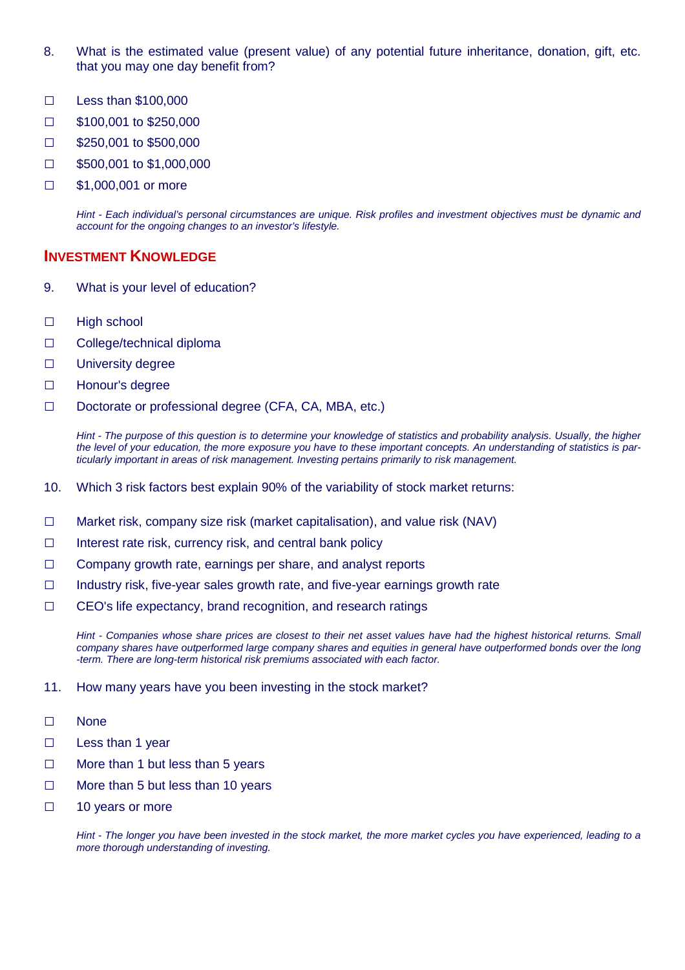- 8. What is the estimated value (present value) of any potential future inheritance, donation, gift, etc. that you may one day benefit from?
- □ Less than \$100,000
- □ \$100,001 to \$250,000
- □ \$250,001 to \$500,000
- □ \$500,001 to \$1,000,000
- □ \$1,000,001 or more

Hint - Each individual's personal circumstances are unique. Risk profiles and investment objectives must be dynamic and account for the ongoing changes to an investor's lifestyle.

#### **INVESTMENT KNOWLEDGE**

- 9. What is your level of education?
- □ High school
- □ College/technical diploma
- □ University degree
- □ Honour's degree
- □ Doctorate or professional degree (CFA, CA, MBA, etc.)

Hint - The purpose of this question is to determine your knowledge of statistics and probability analysis. Usually, the higher the level of your education, the more exposure you have to these important concepts. An understanding of statistics is particularly important in areas of risk management. Investing pertains primarily to risk management.

- 10. Which 3 risk factors best explain 90% of the variability of stock market returns:
- □ Market risk, company size risk (market capitalisation), and value risk (NAV)
- □ Interest rate risk, currency risk, and central bank policy
- □ Company growth rate, earnings per share, and analyst reports
- $\Box$  Industry risk, five-year sales growth rate, and five-year earnings growth rate
- □ CEO's life expectancy, brand recognition, and research ratings

Hint - Companies whose share prices are closest to their net asset values have had the highest historical returns. Small company shares have outperformed large company shares and equities in general have outperformed bonds over the long -term. There are long-term historical risk premiums associated with each factor.

- 11. How many years have you been investing in the stock market?
- □ None
- □ Less than 1 year
- □ More than 1 but less than 5 years
- □ More than 5 but less than 10 years
- □ 10 years or more

Hint - The longer you have been invested in the stock market, the more market cycles you have experienced, leading to a more thorough understanding of investing.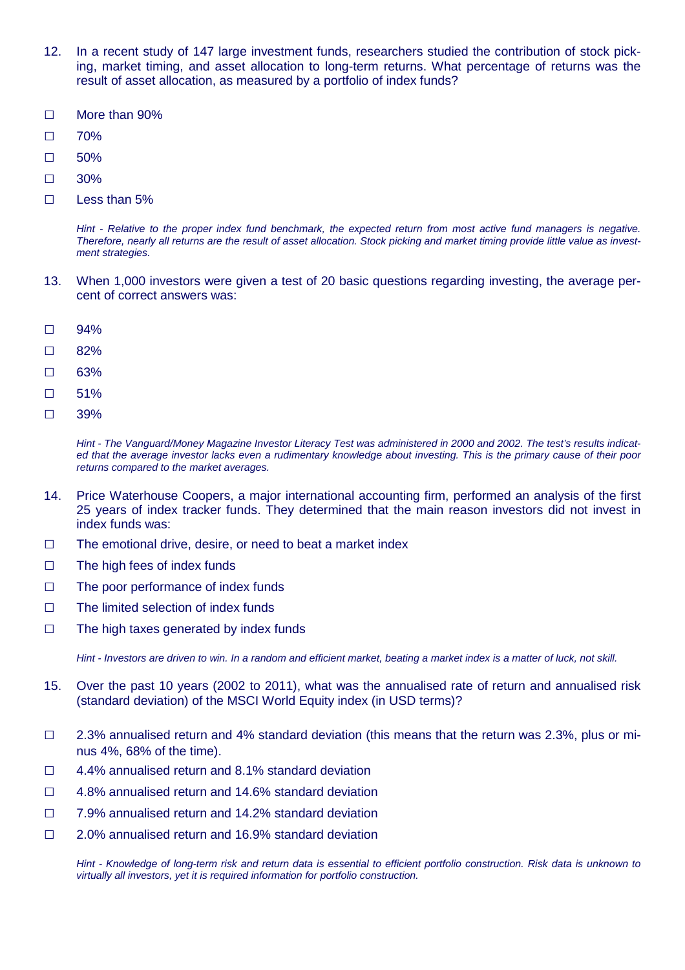- 12. In a recent study of 147 large investment funds, researchers studied the contribution of stock picking, market timing, and asset allocation to long-term returns. What percentage of returns was the result of asset allocation, as measured by a portfolio of index funds?
- □ More than 90%
- □ 70%
- □ 50%
- □ 30%
- □ Less than 5%

Hint - Relative to the proper index fund benchmark, the expected return from most active fund managers is negative. Therefore, nearly all returns are the result of asset allocation. Stock picking and market timing provide little value as investment strategies.

- 13. When 1,000 investors were given a test of 20 basic questions regarding investing, the average percent of correct answers was:
- □ 94%
- □ 82%
- □ 63%
- □ 51%
- □ 39%

Hint - The Vanguard/Money Magazine Investor Literacy Test was administered in 2000 and 2002. The test's results indicated that the average investor lacks even a rudimentary knowledge about investing. This is the primary cause of their poor returns compared to the market averages.

- 14. Price Waterhouse Coopers, a major international accounting firm, performed an analysis of the first 25 years of index tracker funds. They determined that the main reason investors did not invest in index funds was:
- □ The emotional drive, desire, or need to beat a market index
- □ The high fees of index funds
- □ The poor performance of index funds
- □ The limited selection of index funds
- $\Box$  The high taxes generated by index funds

Hint - Investors are driven to win. In a random and efficient market, beating a market index is a matter of luck, not skill.

- 15. Over the past 10 years (2002 to 2011), what was the annualised rate of return and annualised risk (standard deviation) of the MSCI World Equity index (in USD terms)?
- □ 2.3% annualised return and 4% standard deviation (this means that the return was 2.3%, plus or minus 4%, 68% of the time).
- □ 4.4% annualised return and 8.1% standard deviation
- □ 4.8% annualised return and 14.6% standard deviation
- □ 7.9% annualised return and 14.2% standard deviation
- □ 2.0% annualised return and 16.9% standard deviation

Hint - Knowledge of long-term risk and return data is essential to efficient portfolio construction. Risk data is unknown to virtually all investors, yet it is required information for portfolio construction.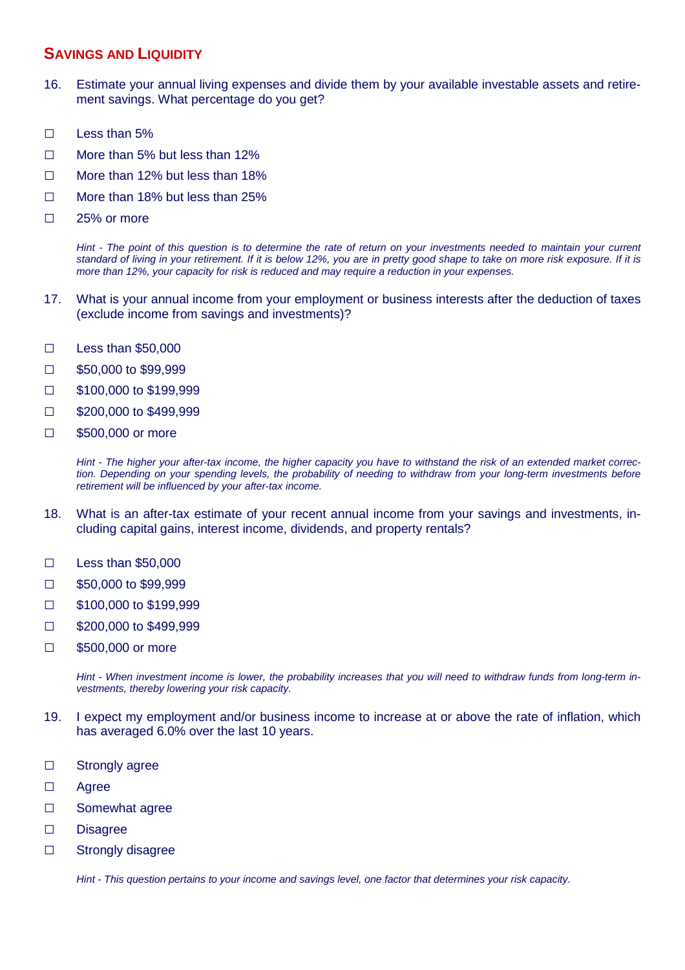# **SAVINGS AND LIQUIDITY**

- 16. Estimate your annual living expenses and divide them by your available investable assets and retirement savings. What percentage do you get?
- □ Less than 5%
- □ More than 5% but less than 12%
- □ More than 12% but less than 18%
- □ More than 18% but less than 25%
- □ 25% or more

Hint - The point of this question is to determine the rate of return on your investments needed to maintain your current standard of living in your retirement. If it is below 12%, you are in pretty good shape to take on more risk exposure. If it is more than 12%, your capacity for risk is reduced and may require a reduction in your expenses.

- 17. What is your annual income from your employment or business interests after the deduction of taxes (exclude income from savings and investments)?
- □ Less than \$50,000
- □ \$50,000 to \$99,999
- □ \$100,000 to \$199,999
- □ \$200,000 to \$499,999
- □ \$500,000 or more

Hint - The higher your after-tax income, the higher capacity you have to withstand the risk of an extended market correction. Depending on your spending levels, the probability of needing to withdraw from your long-term investments before retirement will be influenced by your after-tax income.

- 18. What is an after-tax estimate of your recent annual income from your savings and investments, including capital gains, interest income, dividends, and property rentals?
- □ Less than \$50,000
- □ \$50,000 to \$99,999
- □ \$100,000 to \$199,999
- □ \$200,000 to \$499,999
- □ \$500,000 or more

Hint - When investment income is lower, the probability increases that you will need to withdraw funds from long-term investments, thereby lowering your risk capacity.

- 19. I expect my employment and/or business income to increase at or above the rate of inflation, which has averaged 6.0% over the last 10 years.
- □ Strongly agree
- □ Agree
- □ Somewhat agree
- □ Disagree
- □ Strongly disagree

Hint - This question pertains to your income and savings level, one factor that determines your risk capacity.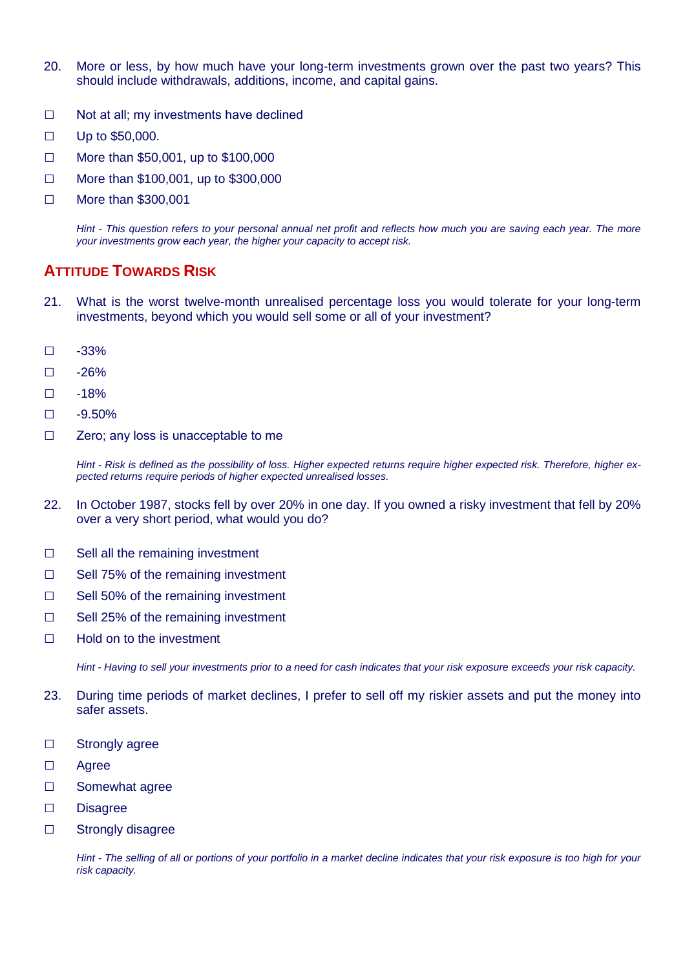- 20. More or less, by how much have your long-term investments grown over the past two years? This should include withdrawals, additions, income, and capital gains.
- □ Not at all; my investments have declined
- □ Up to \$50,000.
- □ More than \$50,001, up to \$100,000
- □ More than \$100,001, up to \$300,000
- □ More than \$300,001

Hint - This question refers to your personal annual net profit and reflects how much you are saving each year. The more your investments grow each year, the higher your capacity to accept risk.

# **ATTITUDE TOWARDS RISK**

- 21. What is the worst twelve-month unrealised percentage loss you would tolerate for your long-term investments, beyond which you would sell some or all of your investment?
- □ -33%
- □ -26%
- □ -18%
- $\Box$  -9.50%
- □ Zero; any loss is unacceptable to me

Hint - Risk is defined as the possibility of loss. Higher expected returns require higher expected risk. Therefore, higher expected returns require periods of higher expected unrealised losses.

- 22. In October 1987, stocks fell by over 20% in one day. If you owned a risky investment that fell by 20% over a very short period, what would you do?
- □ Sell all the remaining investment
- □ Sell 75% of the remaining investment
- □ Sell 50% of the remaining investment
- □ Sell 25% of the remaining investment
- □ Hold on to the investment

Hint - Having to sell your investments prior to a need for cash indicates that your risk exposure exceeds your risk capacity.

- 23. During time periods of market declines, I prefer to sell off my riskier assets and put the money into safer assets.
- □ Strongly agree
- □ Agree
- □ Somewhat agree
- □ Disagree
- □ Strongly disagree

Hint - The selling of all or portions of your portfolio in a market decline indicates that your risk exposure is too high for your risk capacity.